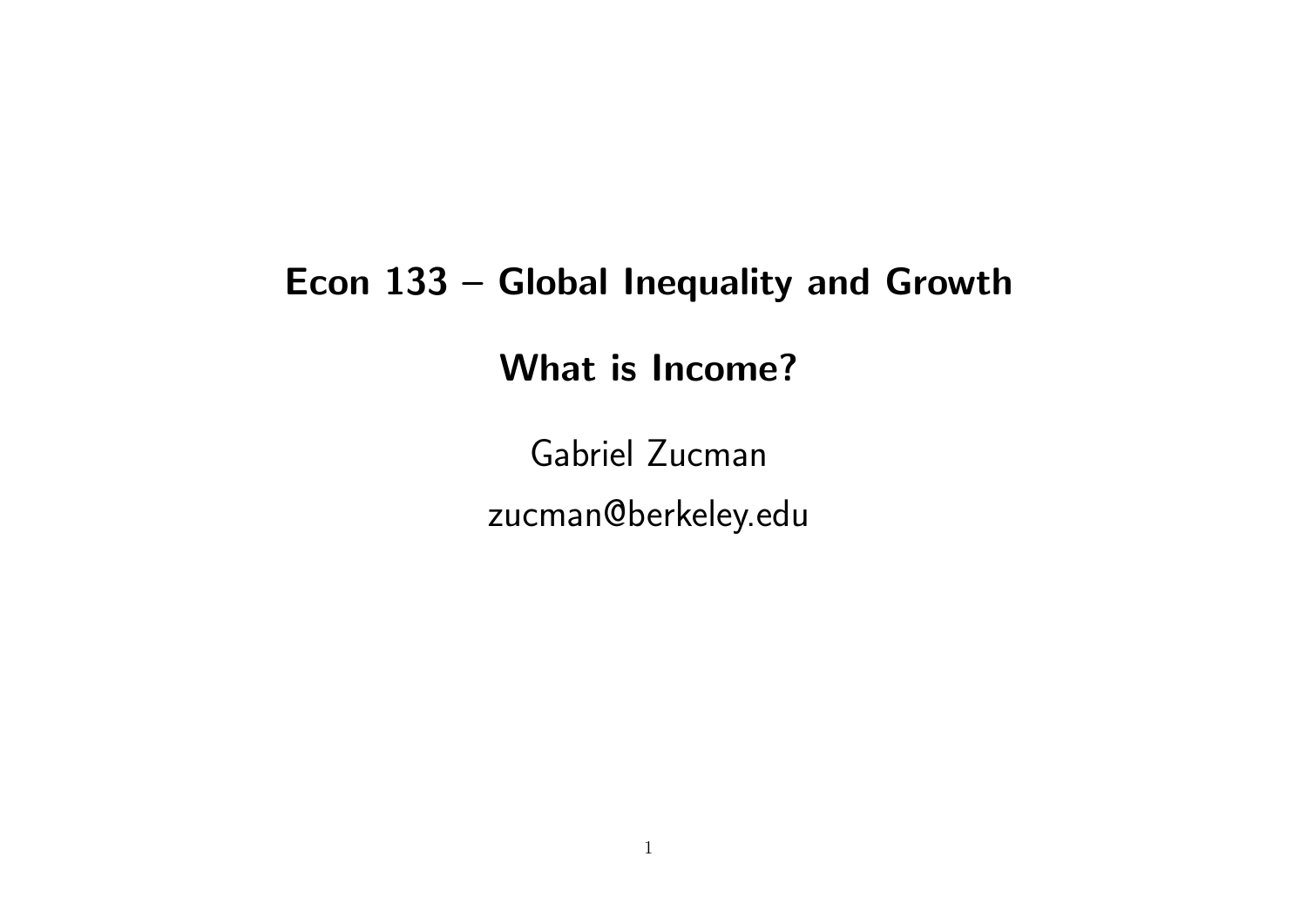#### Econ 133 – Global Inequality and Growth

What is Income?

Gabriel Zucman zucman@berkeley.edu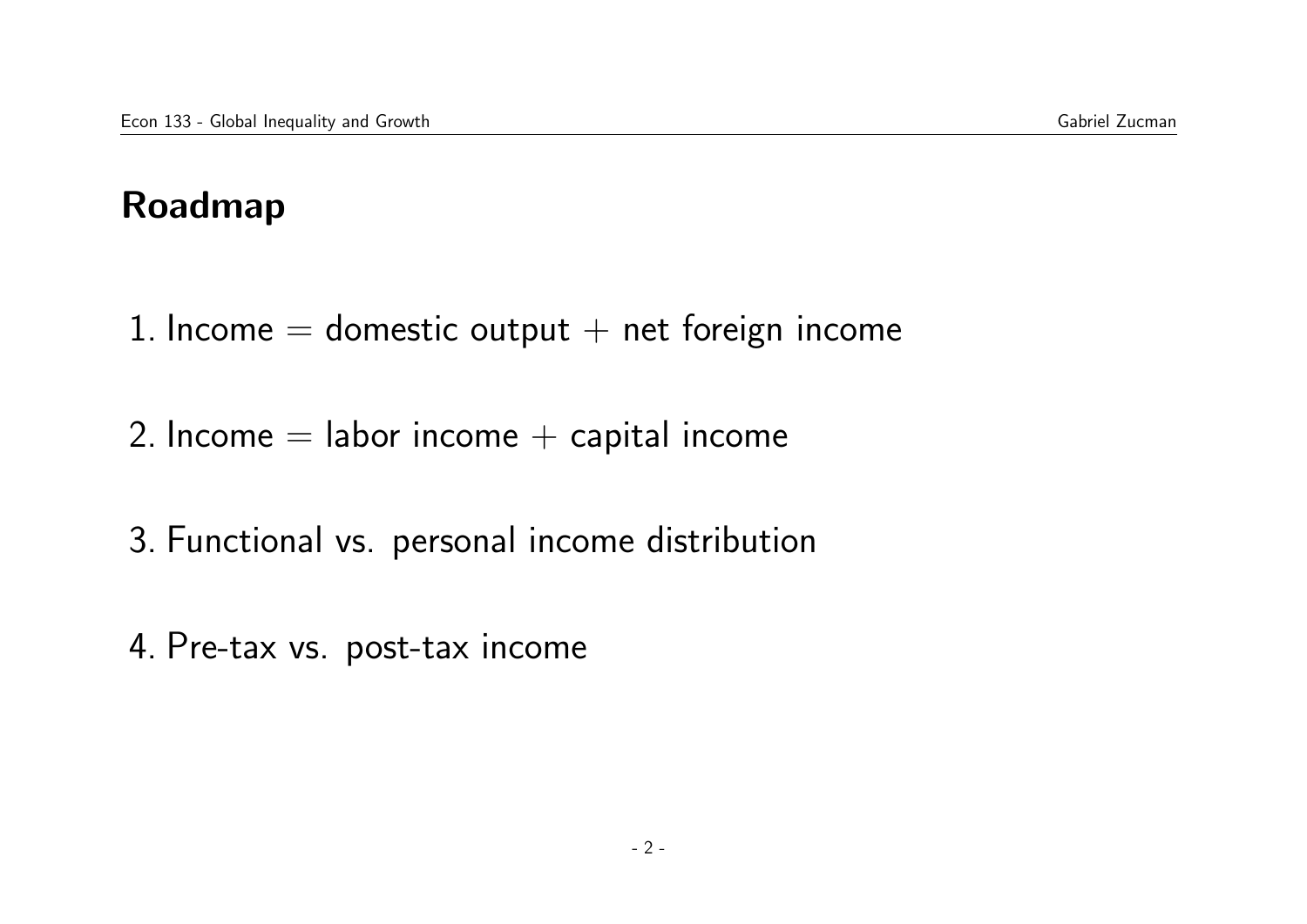## Roadmap

- 1. Income  $=$  domestic output  $+$  net foreign income
- 2. Income  $=$  labor income  $+$  capital income
- 3. Functional vs. personal income distribution
- 4. Pre-tax vs. post-tax income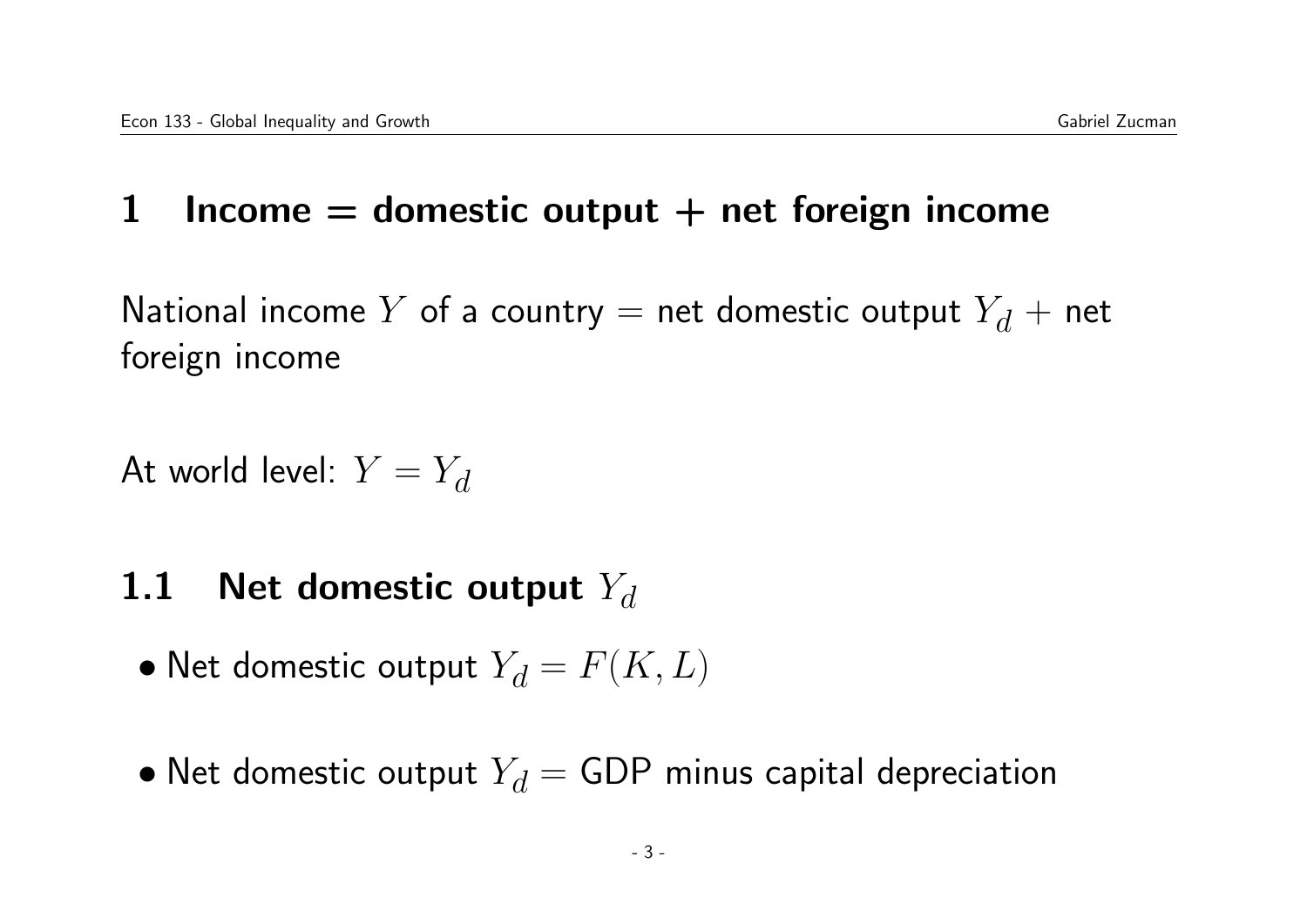#### 1 Income  $=$  domestic output  $+$  net foreign income

National income Y of a country  $=$  net domestic output  $Y_d$  + net foreign income

At world level:  $Y = Y_d$ 

#### 1.1 Net domestic output  $Y_d$

- Net domestic output  $Y_d = F(K, L)$
- Net domestic output  $Y_d = GDP$  minus capital depreciation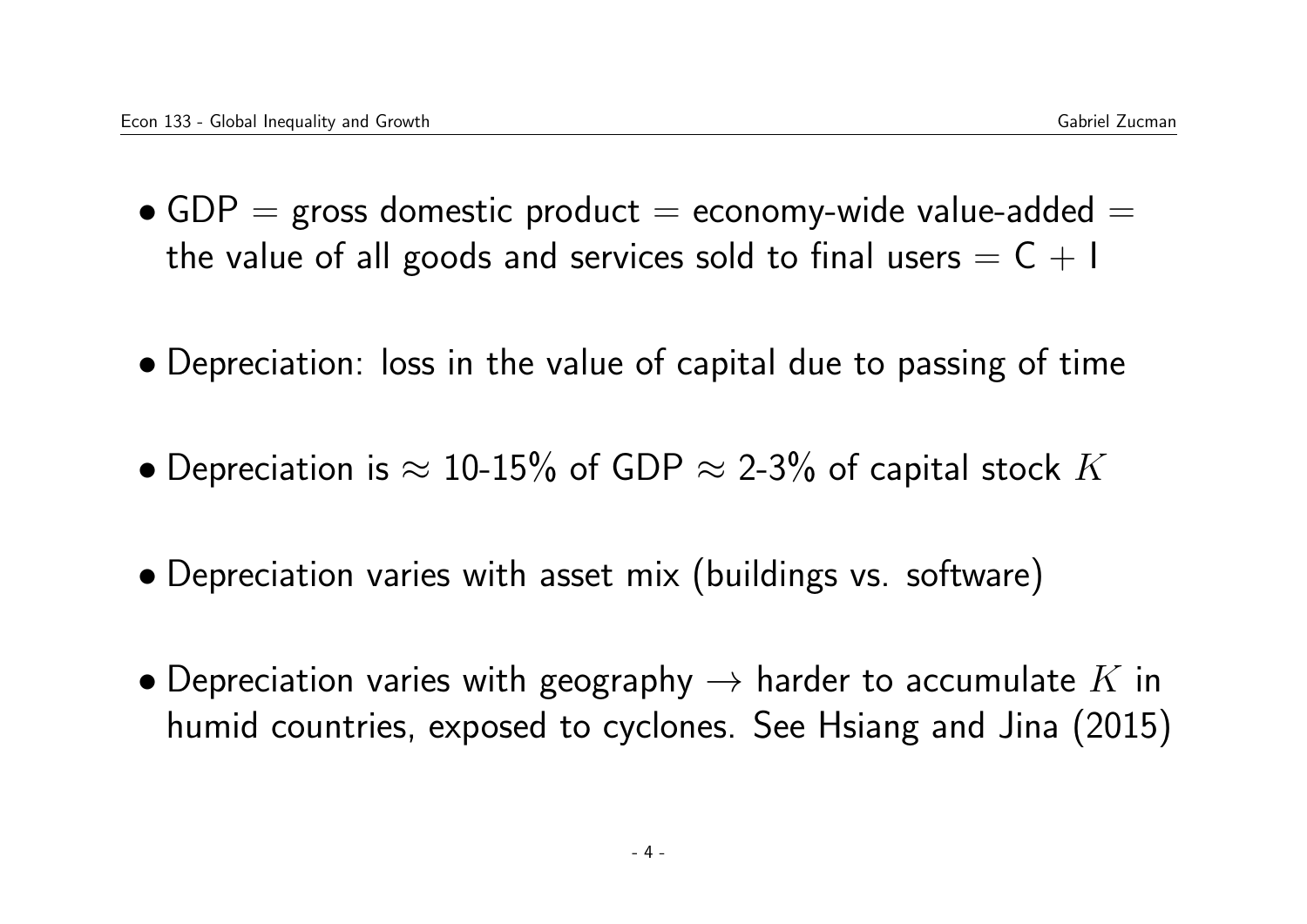- $GDP =$  gross domestic product  $=$  economy-wide value-added  $=$ the value of all goods and services sold to final users  $= C + I$
- Depreciation: loss in the value of capital due to passing of time
- $\bullet$  Depreciation is  $\approx$  10-15% of GDP  $\approx$  2-3% of capital stock  $K$
- Depreciation varies with asset mix (buildings vs. software)
- Depreciation varies with geography  $\rightarrow$  harder to accumulate K in humid countries, exposed to cyclones. See Hsiang and Jina (2015)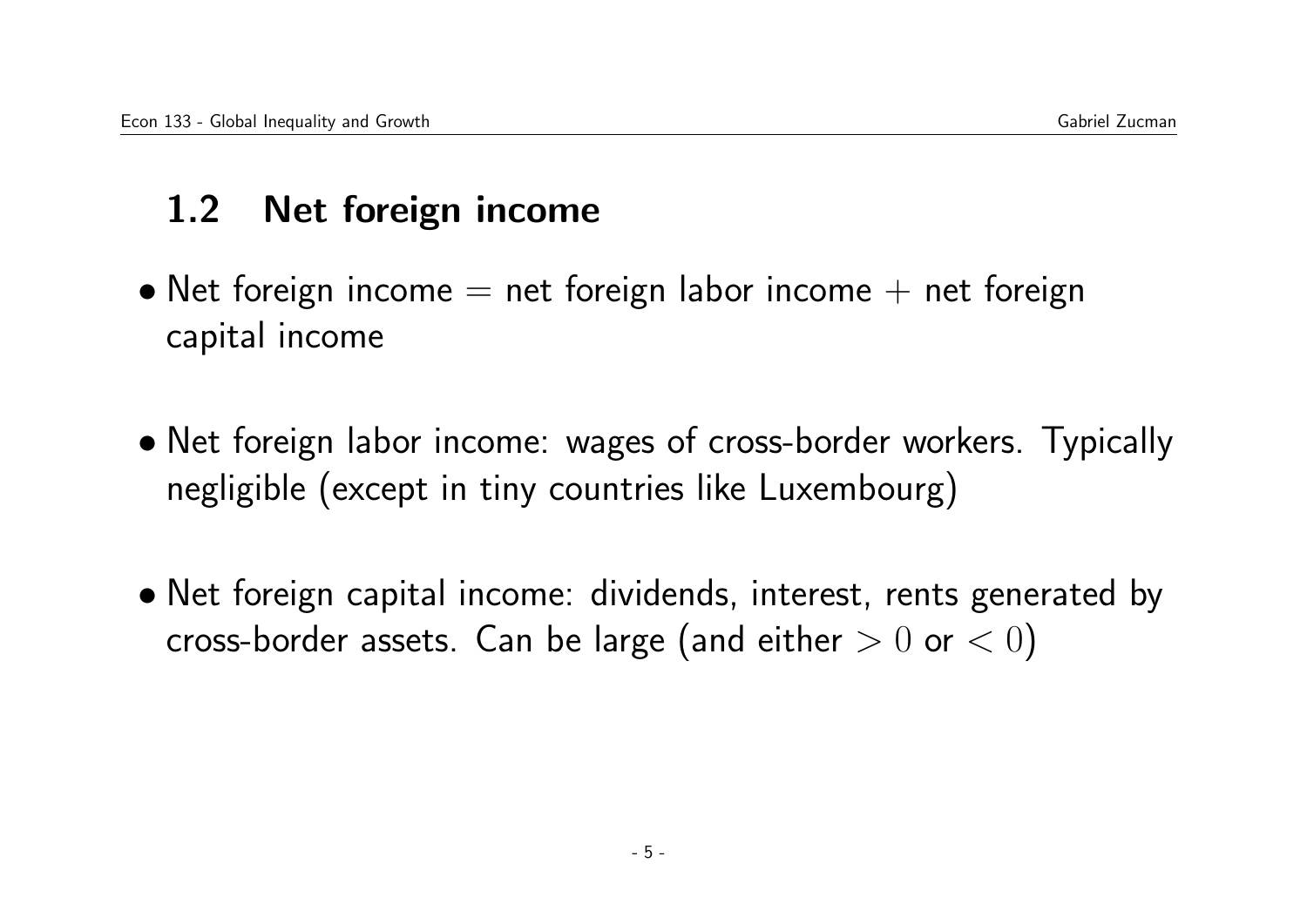# 1.2 Net foreign income

- Net foreign income  $=$  net foreign labor income  $+$  net foreign capital income
- Net foreign labor income: wages of cross-border workers. Typically negligible (except in tiny countries like Luxembourg)
- Net foreign capital income: dividends, interest, rents generated by cross-border assets. Can be large (and either  $> 0$  or  $< 0$ )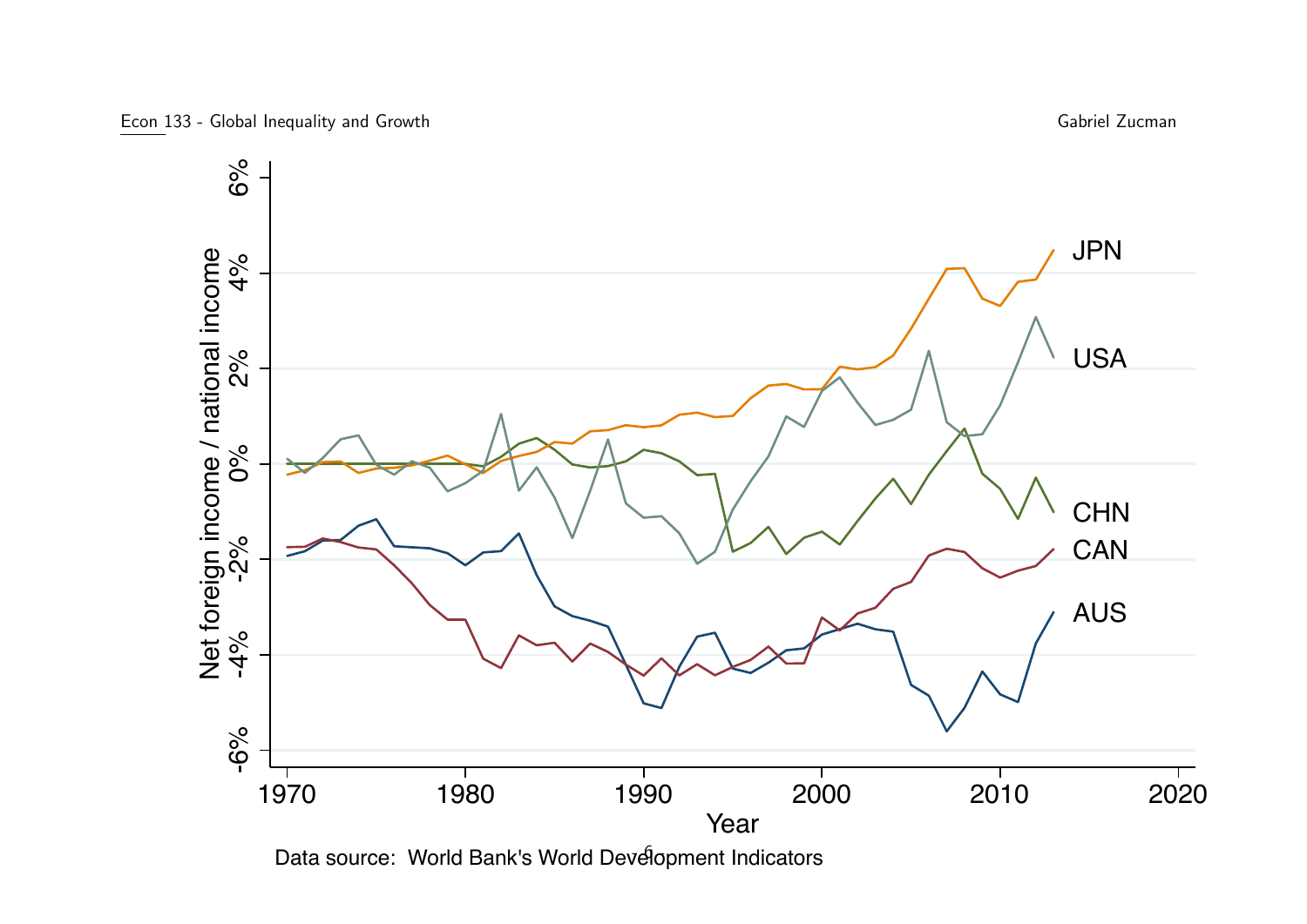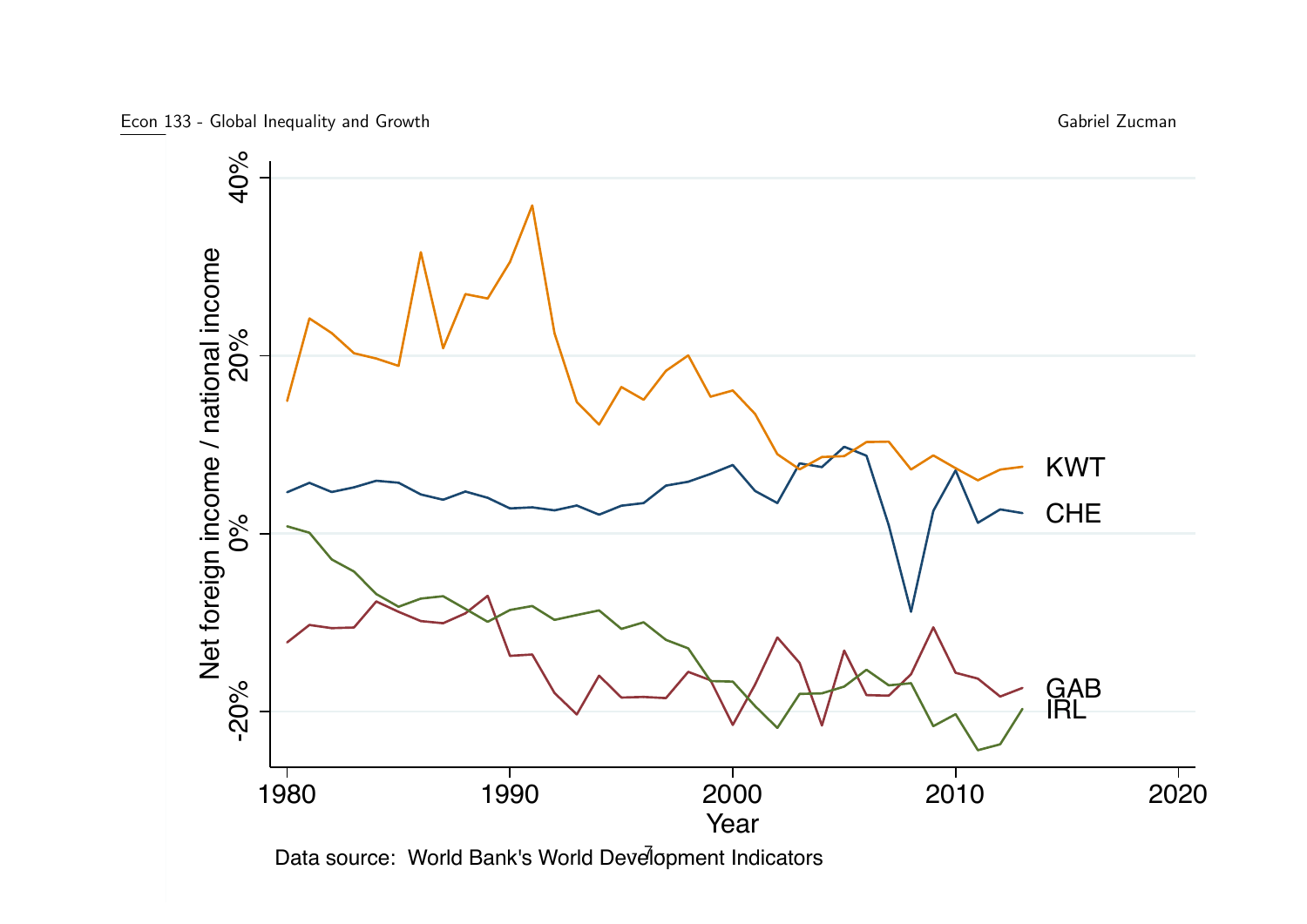

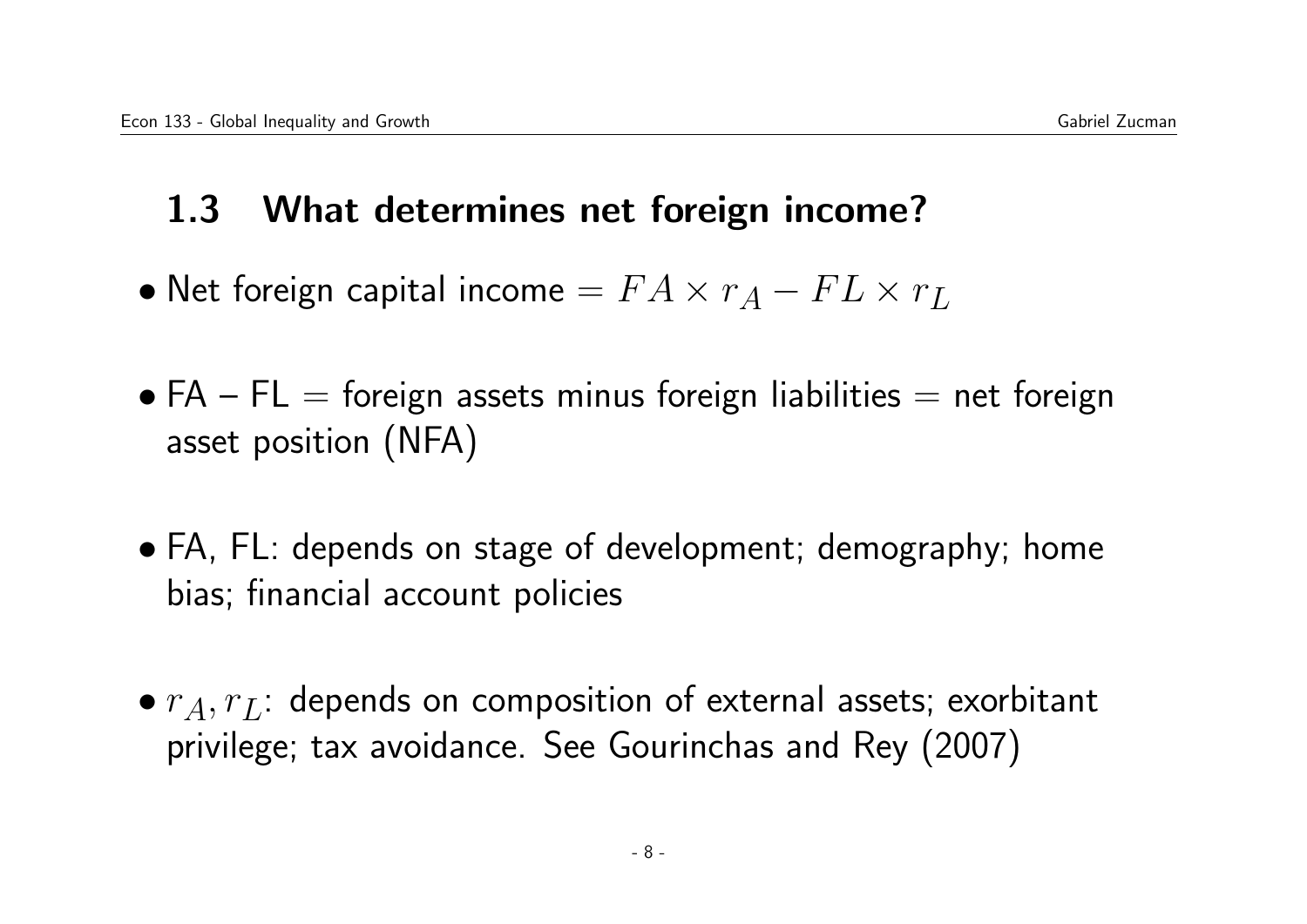## 1.3 What determines net foreign income?

- Net foreign capital income  $= FA \times r_A FL \times r_L$
- $FA$   $FL$  = foreign assets minus foreign liabilities = net foreign asset position (NFA)
- FA, FL: depends on stage of development; demography; home bias; financial account policies
- $r_A, r_L$ : depends on composition of external assets; exorbitant privilege; tax avoidance. See Gourinchas and Rey (2007)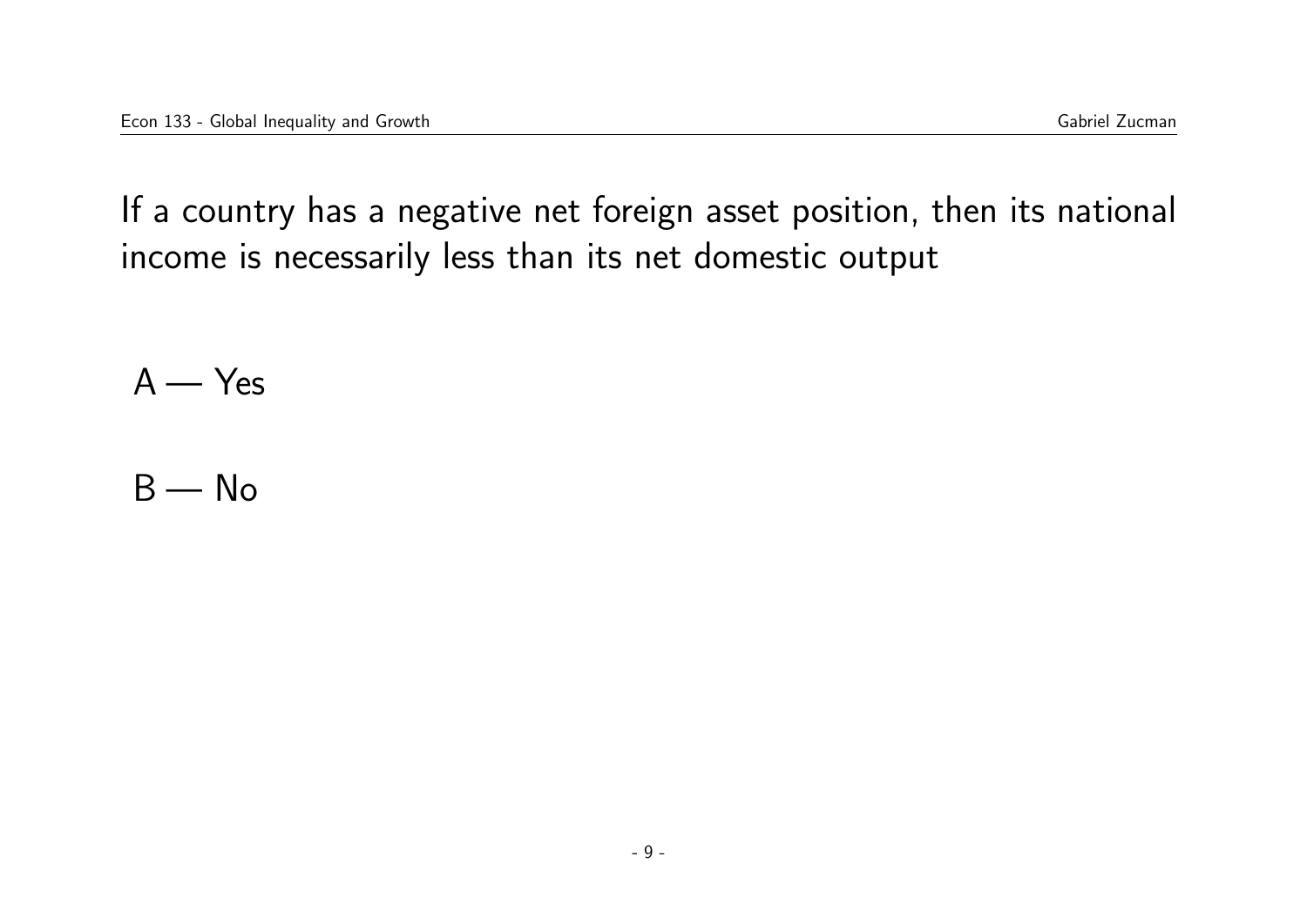If a country has a negative net foreign asset position, then its national income is necessarily less than its net domestic output

 $A - Yes$ 

 $B - No$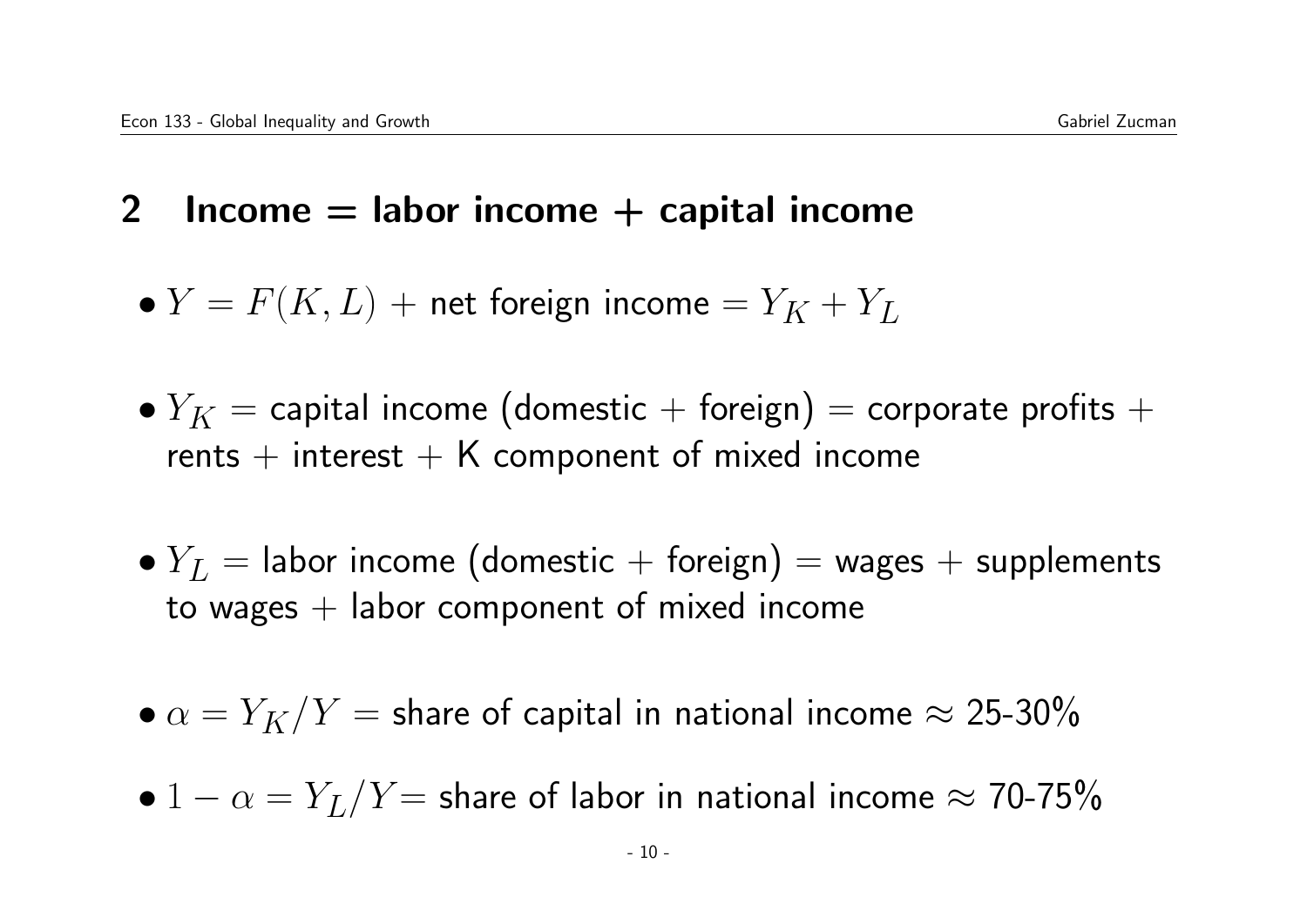- 2 Income  $=$  labor income  $+$  capital income
	- $Y = F(K, L)$  + net foreign income  $= Y_K + Y_L$
	- $Y_K =$  capital income (domestic + foreign) = corporate profits + rents  $+$  interest  $+$  K component of mixed income
	- $Y_L$  = labor income (domestic + foreign) = wages + supplements to wages  $+$  labor component of mixed income
	- $\alpha = Y_K/Y$  = share of capital in national income  $\approx 25\text{-}30\%$
	- $1 \alpha = Y_L/Y =$  share of labor in national income  $\approx 70$ -75%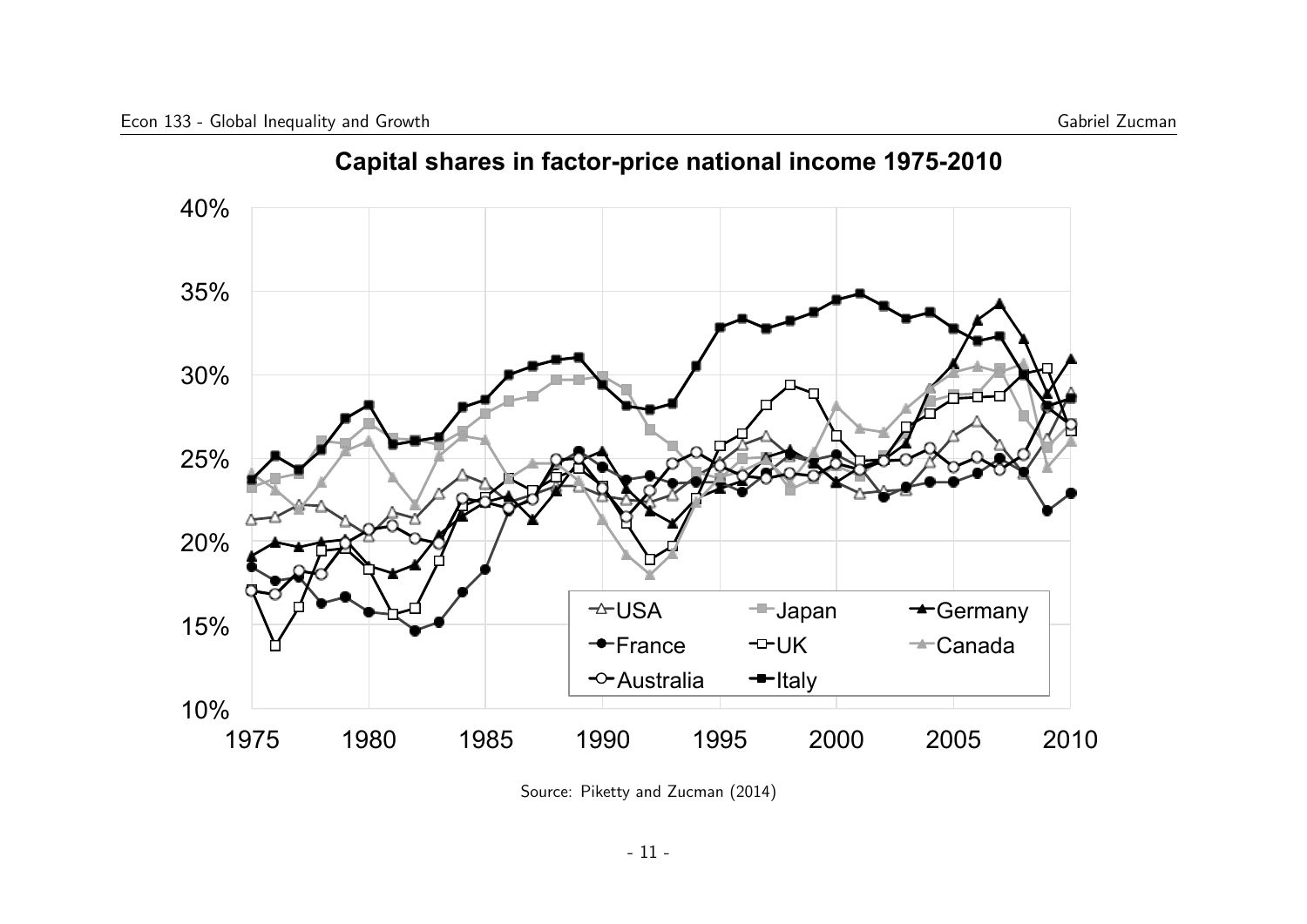

**Capital shares in factor-price national income 1975-2010** 

Source: Piketty and Zucman (2014)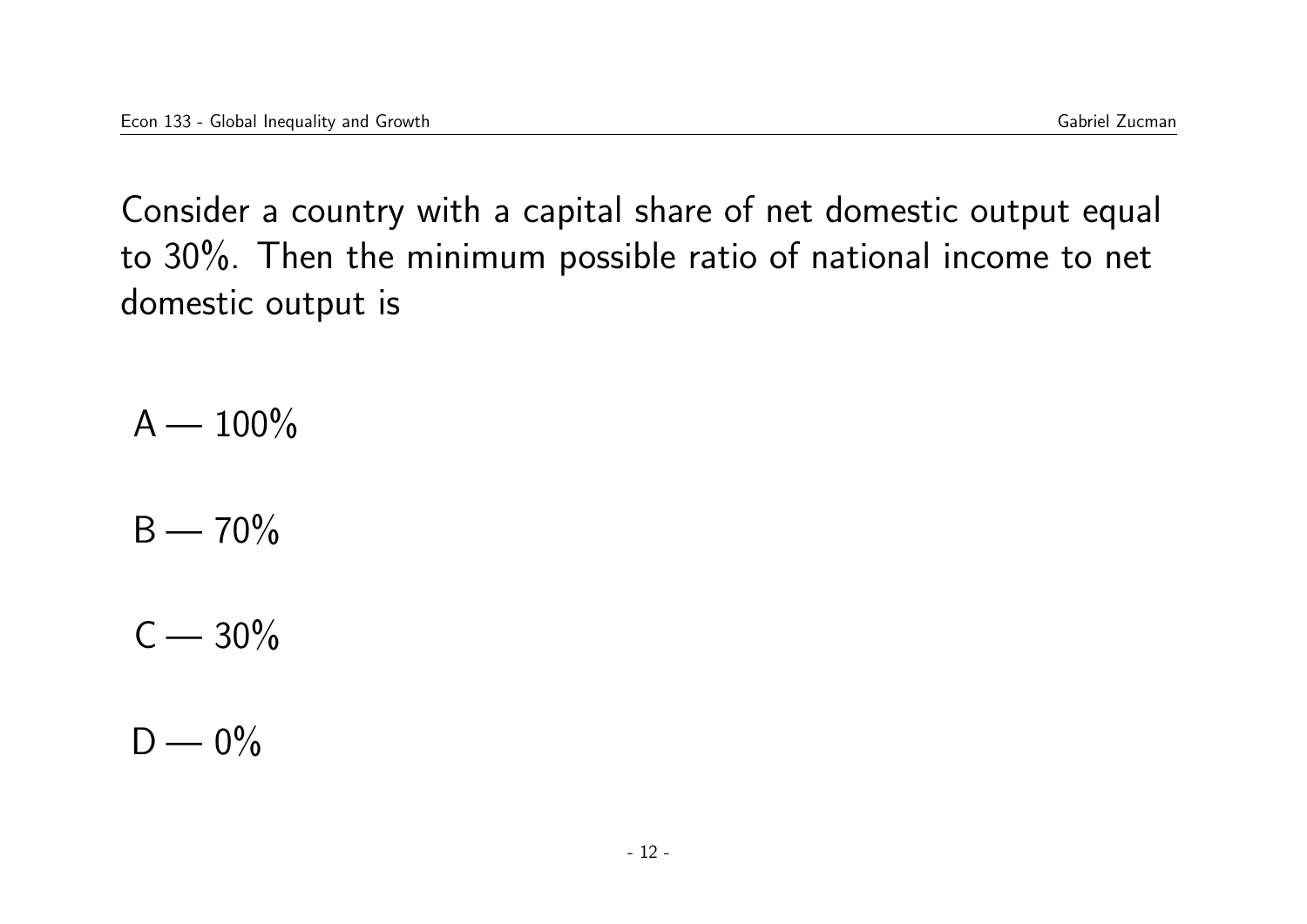Consider a country with a capital share of net domestic output equal to 30%. Then the minimum possible ratio of national income to net domestic output is

 $A - 100\%$ 

 $B - 70\%$ 

 $C - 30\%$ 

 $D - 0\%$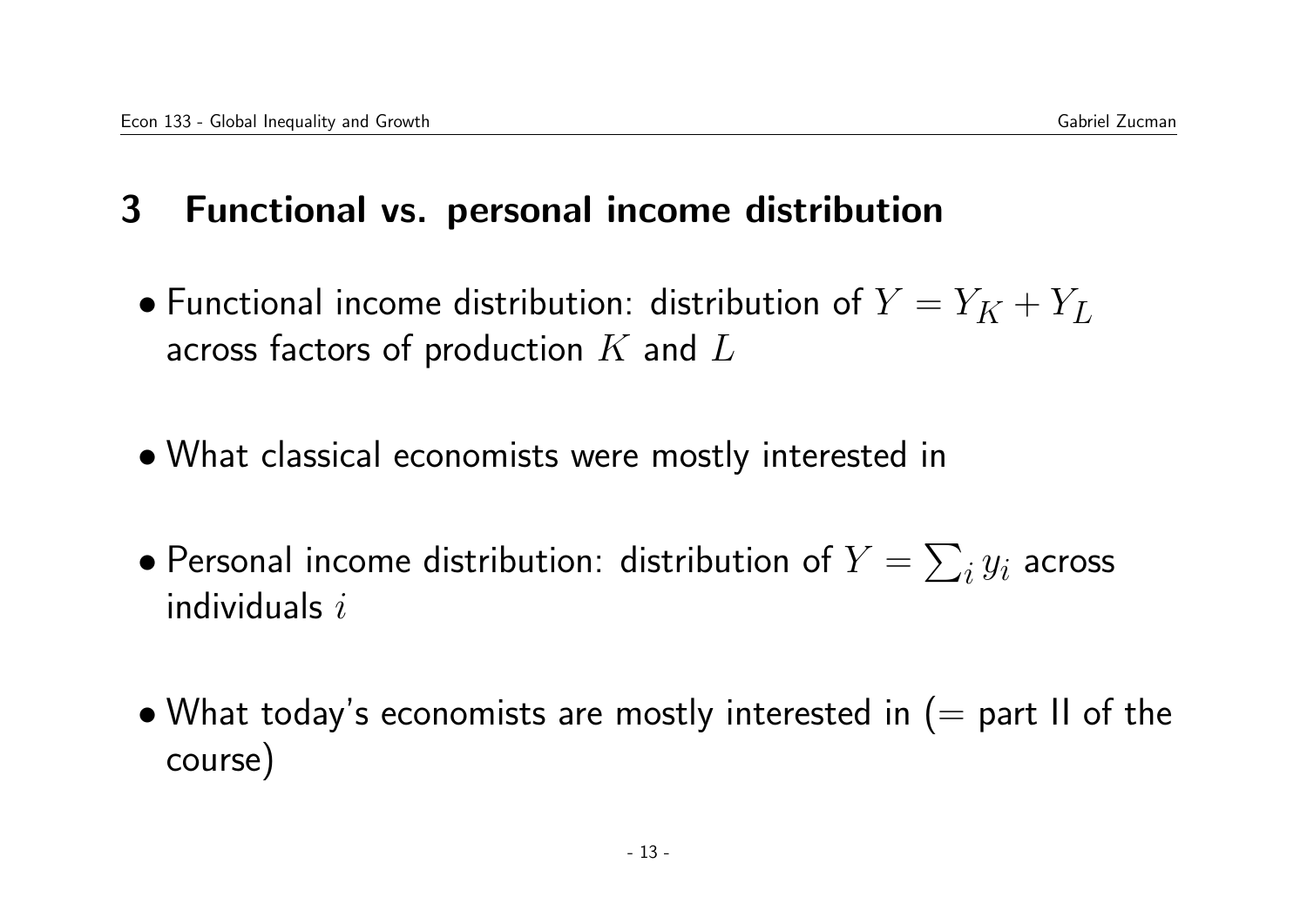# 3 Functional vs. personal income distribution

- Functional income distribution: distribution of  $Y = Y_K + Y_L$ across factors of production  $K$  and  $L$
- What classical economists were mostly interested in
- $\bullet$  Personal income distribution: distribution of  $Y = \sum_i y_i$  across individuals  $i$
- What today's economists are mostly interested in  $(=$  part II of the course)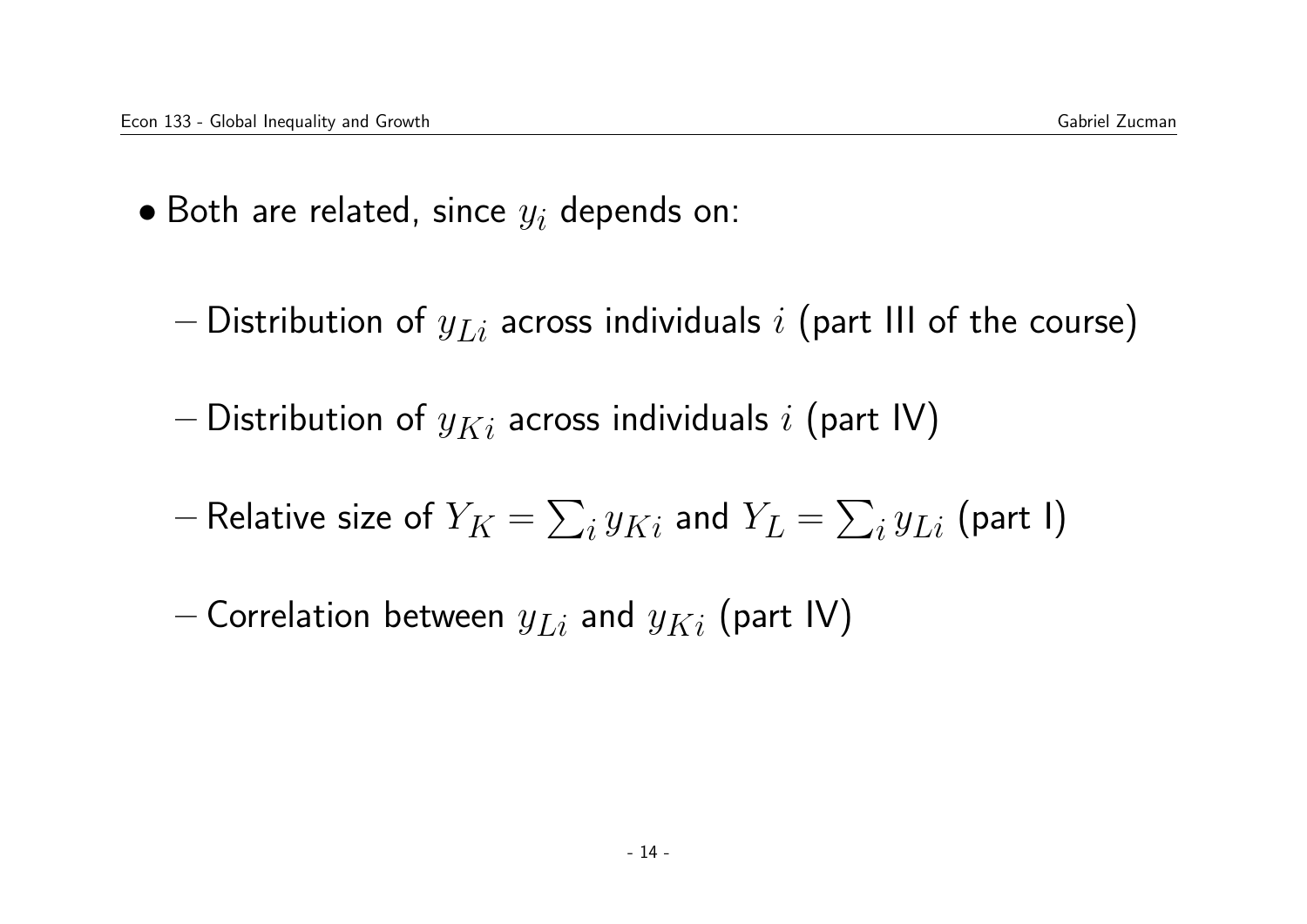- Both are related, since  $y_i$  depends on:
	- Distribution of  $y_{Li}$  across individuals i (part III of the course)
	- Distribution of  $y_{Ki}$  across individuals i (part IV)
	- $-$  Relative size of  $Y_K = \sum_i y_{Ki}$  and  $Y_L = \sum_i y_{Li}$  (part I)
	- Correlation between  $y_{Li}$  and  $y_{Ki}$  (part IV)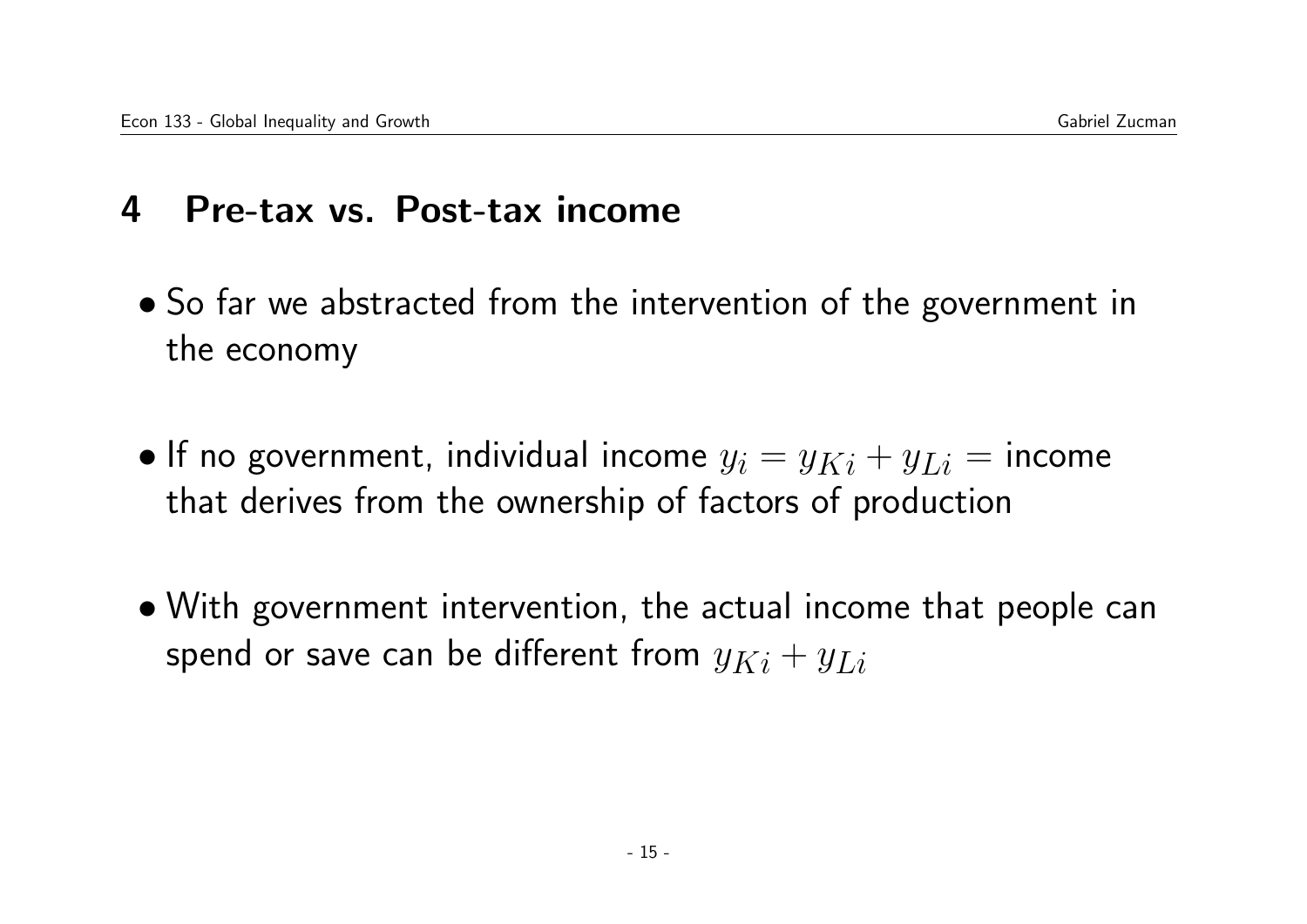## 4 Pre-tax vs. Post-tax income

- So far we abstracted from the intervention of the government in the economy
- If no government, individual income  $y_i = y_{Ki} + y_{Li} =$  income that derives from the ownership of factors of production
- With government intervention, the actual income that people can spend or save can be different from  $y_{Ki} + y_{Li}$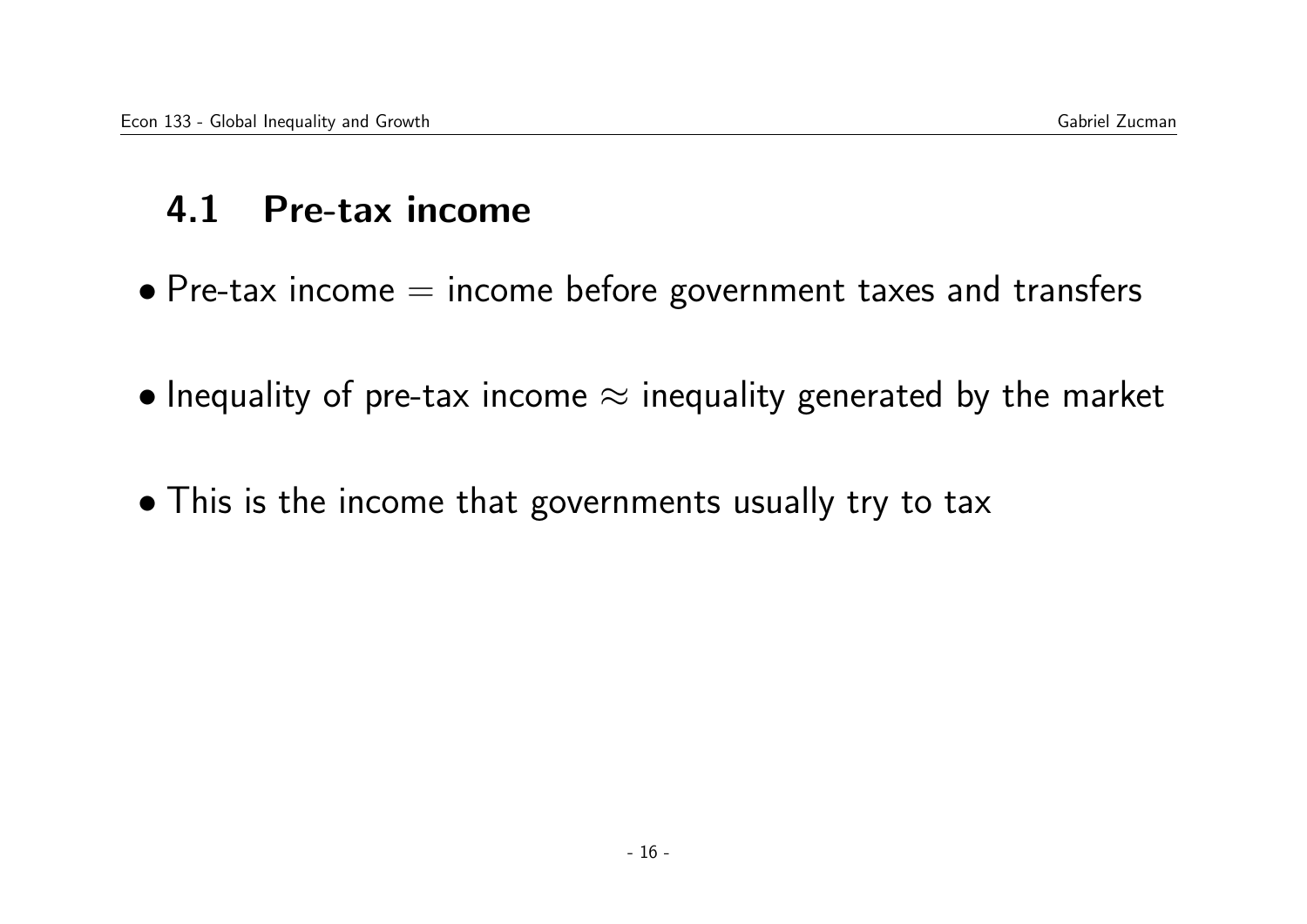## 4.1 Pre-tax income

- $\bullet$  Pre-tax income  $=$  income before government taxes and transfers
- Inequality of pre-tax income  $\approx$  inequality generated by the market
- This is the income that governments usually try to tax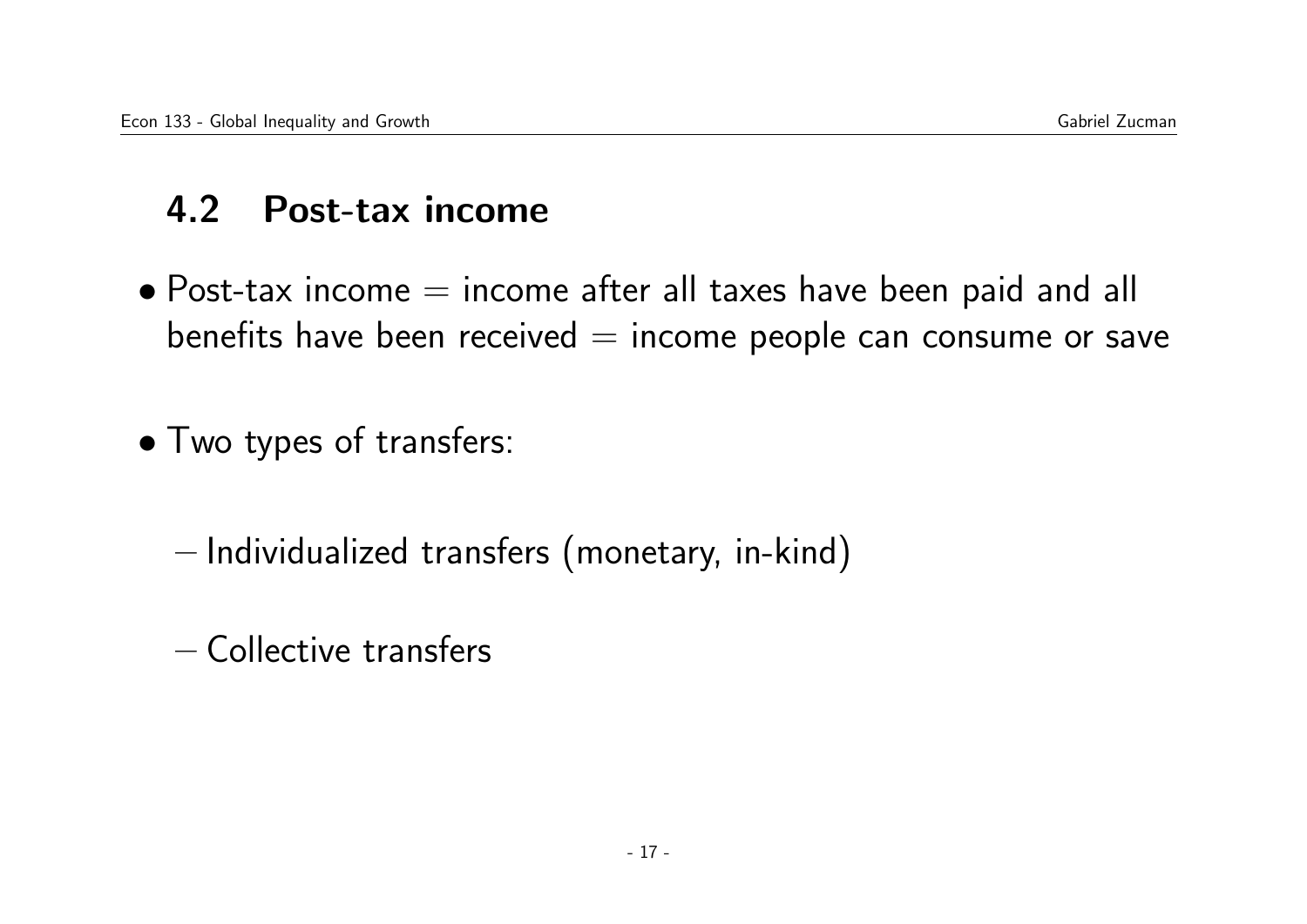# 4.2 Post-tax income

 $\bullet$  Post-tax income  $=$  income after all taxes have been paid and all benefits have been received  $=$  income people can consume or save

• Two types of transfers:

– Individualized transfers (monetary, in-kind)

– Collective transfers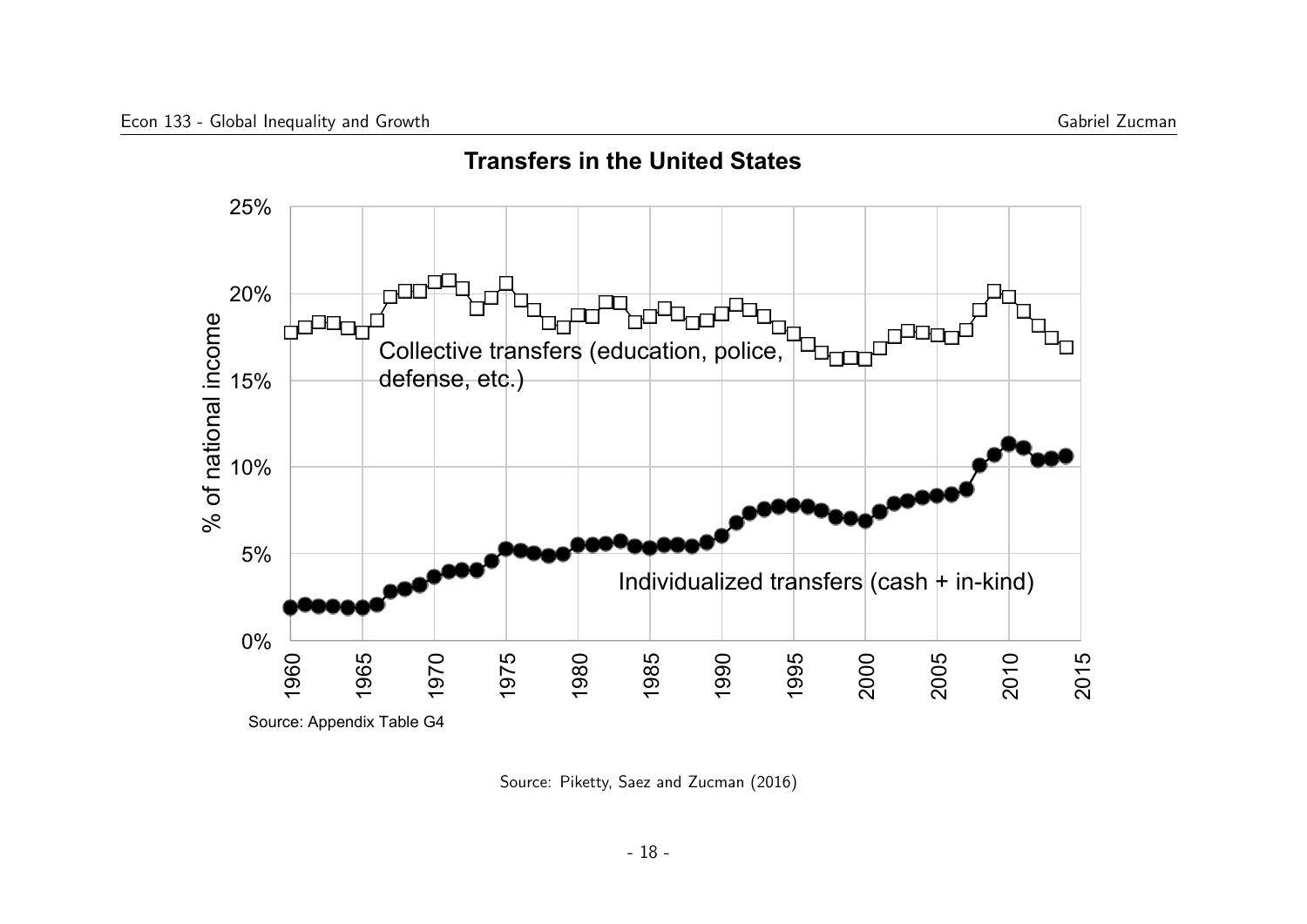

**Transfers in the United States** 

Source: Piketty, Saez and Zucman (2016)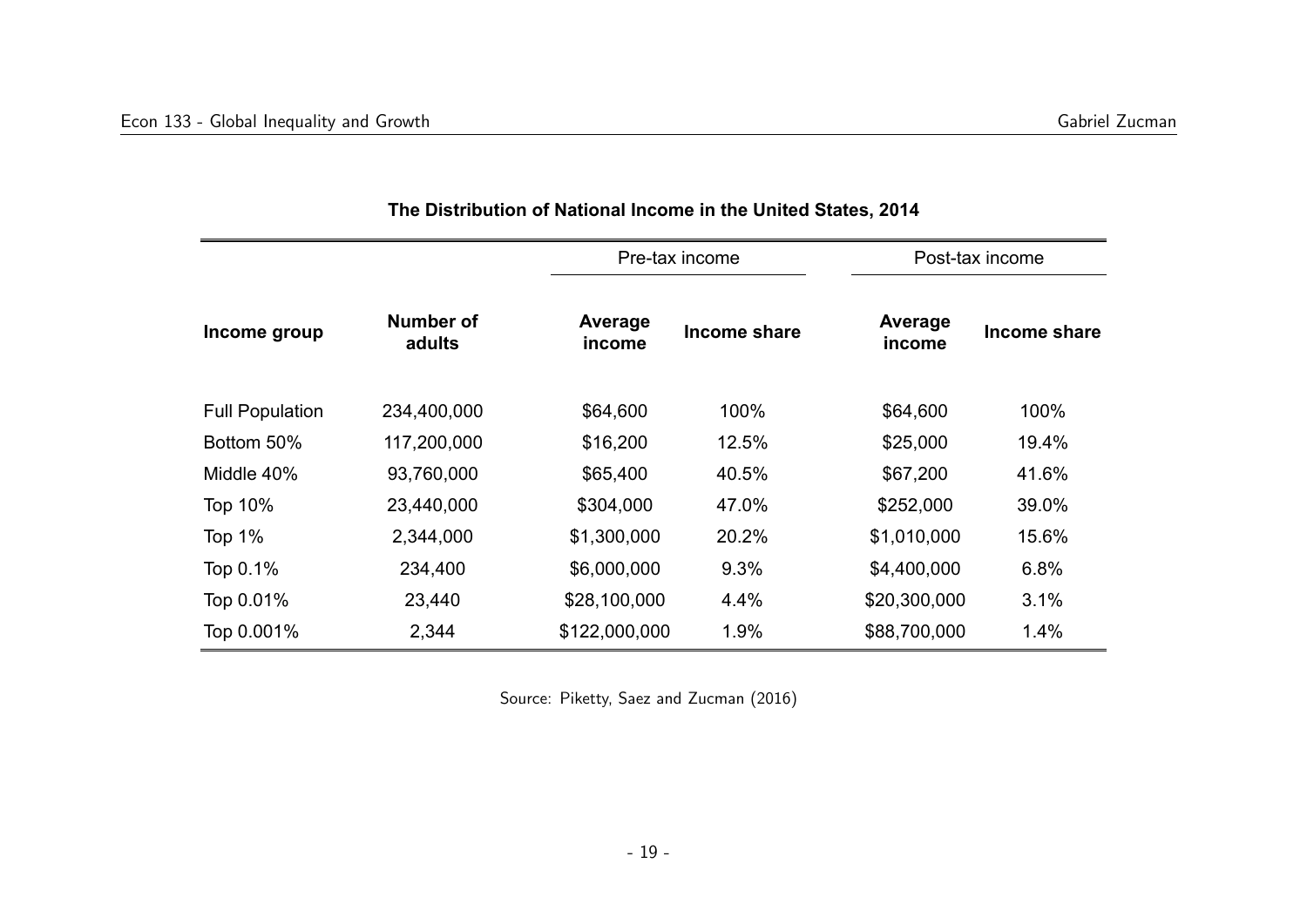| Income group           | Number of<br>adults | Pre-tax income    |              | Post-tax income   |              |
|------------------------|---------------------|-------------------|--------------|-------------------|--------------|
|                        |                     | Average<br>income | Income share | Average<br>income | Income share |
| <b>Full Population</b> | 234,400,000         | \$64,600          | 100%         | \$64,600          | 100%         |
| Bottom 50%             | 117,200,000         | \$16,200          | 12.5%        | \$25,000          | 19.4%        |
| Middle 40%             | 93,760,000          | \$65,400          | 40.5%        | \$67,200          | 41.6%        |
| <b>Top 10%</b>         | 23,440,000          | \$304,000         | 47.0%        | \$252,000         | 39.0%        |
| Top $1\%$              | 2,344,000           | \$1,300,000       | 20.2%        | \$1,010,000       | 15.6%        |
| Top 0.1%               | 234,400             | \$6,000,000       | 9.3%         | \$4,400,000       | 6.8%         |
| Top 0.01%              | 23,440              | \$28,100,000      | 4.4%         | \$20,300,000      | 3.1%         |
| Top 0.001%             | 2,344               | \$122,000,000     | 1.9%         | \$88,700,000      | 1.4%         |

#### **The Distribution of National Income in the United States, 2014**

Source: Piketty, Saez and Zucman (2016)